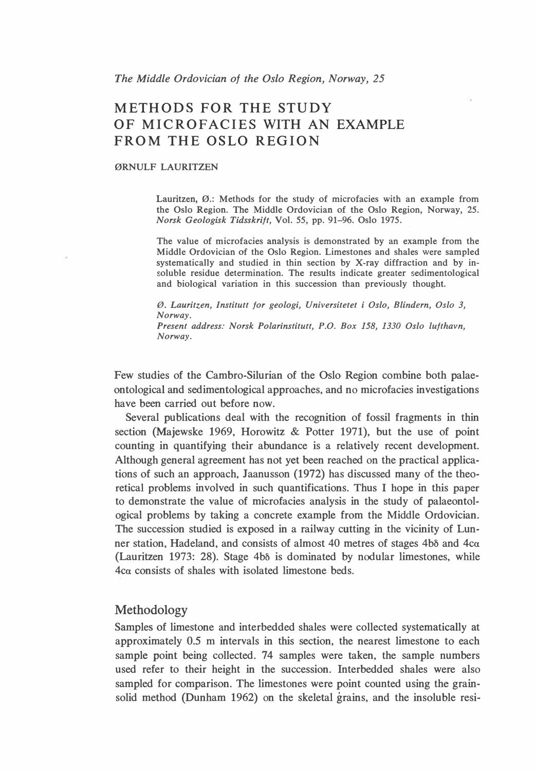# METHODS FOR THE STUDY OF MICROFACIES WITH AN EXAMPLE FROM THE OSLO REGION

### ØRNULF LAURITZEN

Lauritzen, Ø.: Methods for the study of microfacies with an example from the Oslo Region. The Middle Ordovician of the Oslo Region, Norway, 25. Norsk Geologisk Tidsskrift, Vol. 55, pp. 91-96. Oslo 1975.

The value of microfacies analysis is demonstrated by an example from the Middle Ordovician of the Oslo Region. Limestones and shales were sampled systematically and studied in thin section by X-ray diffraction and by insoluble residue determination. The results indicate greater sedimentological and biological variation in this succession than previously thought.

Ø. Lauritzen, Institutt for geologi, Universitetet i Oslo, Blindern, Oslo 3, Norway. Present address: Norsk Polarinstitutt, P.O. Box 158, 1330 Oslo lufthavn, Norway.

Few studies of the Cambro-Silurian of the Oslo Region combine both palaeontological and sedimentological approaches, and no microfacies investigations have been carried out before now.

Several publications deal with the recognition of fossil fragments in thin section (Majewske 1969, Horowitz & Potter 1971), but the use of point counting in quantifying their abundance is a relatively recent development. Although general agreement has not yet been reached on the practical applications of such an approach, Jaanusson (1972) has discussed many of the theoretical problems involved in such quantifications. Thus I hope in this paper to demonstrate the value of microfacies analysis in the study of palaeontological problems by taking a concrete example from the Middle Ordovician. The succession studied is exposed in a railway cutting in the vicinity of Lunner station, Hadeland, and consists of almost 40 metres of stages 4b<sub>0</sub> and  $4c\alpha$ (Lauritzen 1973: 28). Stage  $4b\delta$  is dominated by nodular limestones, while 4ca consists of shales with isolated limestone beds.

## Methodology

Samples of limestone and interbedded shales were collected systematically at approximately 0.5 m intervals in this section, the nearest limestone to each sample point being collected. 74 samples were taken, the sample numbers used refer to their height in the succession. Interbedded shales were also sampled for comparison. The limestones were point counted using the gramsolid method (Dunham 1962) on the skeletal grains, and the insoluble resi-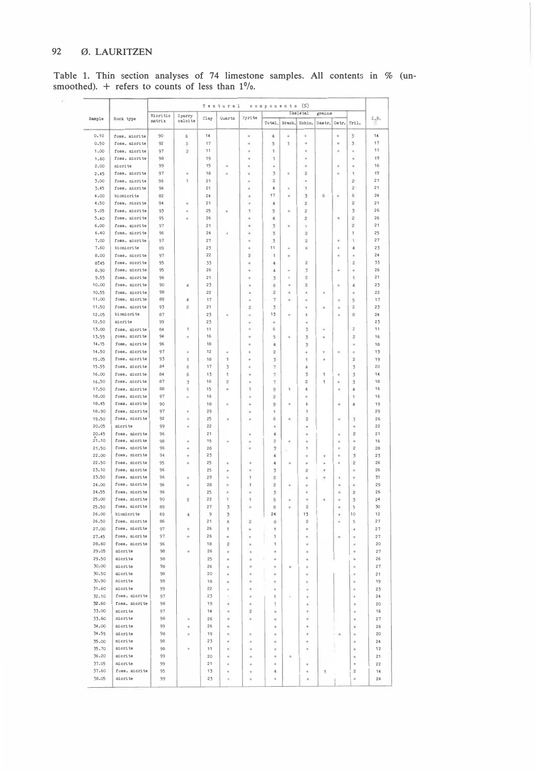#### 92 Ø. LAURITZEN

Table 1. Thin section analyses of 74 limestone samples. All contents in % (un-<br>smoothed). + refers to counts of less than  $1\%$ .

|  | Sample         | Rock type                      | components (%)<br>Textural |                           |          |                         |                         |                              |                      |                             |                      |        |                           |          |
|--|----------------|--------------------------------|----------------------------|---------------------------|----------|-------------------------|-------------------------|------------------------------|----------------------|-----------------------------|----------------------|--------|---------------------------|----------|
|  |                |                                | Micritic                   | Sparry                    | Clay     | Quartz                  | Pyrite                  |                              |                      | Skeletal                    | grains               |        |                           | I, R     |
|  |                |                                | matrix                     | calcite                   |          |                         |                         | Total.                       | Brach.               | Echin.                      | Gastr. Ostr.         |        | Tril.                     |          |
|  | 0.10           | foss. micrite                  | 90                         | $\boldsymbol{5}$          | 14       |                         | ¥                       | $\ddot{\phantom{a}}$         | ٠                    | ÷                           |                      | ٠      | 3                         | 14       |
|  | 0.50           | foss, micrite                  | 92                         | $\bar{z}$                 | 17       |                         | ä                       | 5                            | 1                    | ٠                           |                      | ÷      | 3                         | 17       |
|  | 1.00           | foss. micrite                  | 97                         | $\bar{z}$                 | 11       |                         | ٠                       | 1                            |                      | ų                           |                      | ٠      | ۰                         | 11       |
|  | 1.60           | foss, micrite                  | 98                         |                           | 19       |                         | ٠                       | ٦                            |                      | ä                           |                      |        | ٠                         | 19       |
|  | 2.00           | micrite                        | 99                         |                           | 15       | ¥                       | ٠                       | ٠                            |                      | ä                           |                      | ۰      | ٠                         | 16       |
|  | 2.45           | foss. micrite                  | 97                         | ٠                         | 18       | ٠                       | ä                       | 3                            | ٠                    | $\overline{z}$              |                      | ٠      | 1                         | 19       |
|  | 3.00           | foss, micrite                  | 96<br>96                   | 1                         | 21<br>21 |                         | ٠                       | $\overline{\mathbf{z}}$<br>4 |                      | $\ddot{\phantom{0}}$<br>ŧ   |                      |        | $\mathbf{2}$<br>$\bar{z}$ | 21<br>21 |
|  | 3.45<br>4.00   | foss, micrite<br>biomicrite    | 82                         |                           | 24       |                         | ٠<br>٠                  | 17                           | ٠                    | 3                           | 6                    | ٠      | 6                         | 24       |
|  | 4.50           | foss. micrite                  | 94                         | ٠                         | 21       |                         | ٠                       | $\ddot{\phantom{a}}$         |                      | $\bar{z}$                   |                      |        | $\bar{2}$                 | 21       |
|  | 5.05           | foss, micrite                  | 93                         | ÷                         | 25       | ٠                       | 1                       | 5                            | ¥                    | $\overline{\mathbf{z}}$     |                      |        | 3                         | 26       |
|  | 5.40           | foss, micrite                  | 95                         | è                         | 26       |                         |                         | 4                            |                      | $\overline{\mathbf{z}}$     |                      | ٠      | $\overline{\mathbf{z}}$   | 26       |
|  | 6.00           | foss. micrite                  | 97                         |                           | 21       |                         | ٠                       | 3                            |                      | ٠                           |                      |        | $\overline{c}$            | 21       |
|  | 6.40           | foss. micrite                  | 96                         |                           | 24       | ä                       | ٠                       | 3                            |                      | $\bar{z}$                   |                      |        | 1                         | 25       |
|  | 7.00           | foss, micrite                  | 97                         |                           | 27       |                         | ٠                       | 3                            |                      | $\overline{2}$              |                      | ¥      | ٦                         | 27       |
|  | 7.60           | biomicrite                     | 89                         |                           | 23       |                         | ٠                       | 11                           |                      | 6                           |                      | ÷      | $\ddot{\phantom{a}}$      | 23       |
|  | 8.00           | foss, micrite                  | 97                         |                           | 22       |                         | $\overline{2}$          | 1                            | ٠                    |                             |                      | ٠      | ٠                         | 24       |
|  | 8:45           | foss. micrite                  | 95                         |                           | 33       |                         | ۰                       | 4                            |                      | $\hat{\mathbf{z}}$          |                      |        | $\overline{\mathbf{z}}$   | 33       |
|  | 8.90           | foss. micrite                  | 95                         |                           | 26       |                         | ٠                       | 4                            | ٠                    | 3                           |                      | ä      | ٠                         | 26<br>21 |
|  | 9.55<br>10.00  | foss. micrite<br>foss, micrite | 96<br>90                   | 4                         | 21<br>23 |                         | ۰<br>٠                  | 3<br>6                       | ٠<br>٠               | $\hat{z}$<br>$\overline{c}$ |                      | ÷      | 1<br>4                    | 23       |
|  | 10.55          | foss. micrite                  | 98                         |                           | 22       |                         | ٠                       | $\overline{\mathbf{2}}$      | $\ddot{\phantom{0}}$ | ۰                           | ÷                    |        | ٠                         | 22       |
|  | 11.00          | foss. micrite                  | 89                         | $\ddot{a}$                | 17       |                         | ٠                       | $\overline{7}$               | ٠                    | ٠                           |                      | ٠      | 5                         | 17       |
|  | 11.50          | foss, micrite                  | 93                         | $\overline{z}$            | 21       |                         | $\bar{z}$               | 3                            |                      | ٠                           | ¥                    | ٠      | $\overline{\mathbf{z}}$   | 23       |
|  | 12.05          | biomicrite                     | 87                         |                           | 23       | ٠                       | ÷                       | 13                           | ÷                    | 4                           |                      | ٠      | $\theta$                  | 24       |
|  | 12.50          | micrite                        | 99                         |                           | 23       |                         | $\ddot{\phantom{0}}$    | ۰                            |                      | ÷                           |                      |        |                           | 23       |
|  | 13.00          | foss, micrite                  | 84                         | \$                        | 11       |                         | ä                       | 6                            |                      | $\overline{3}$              | ٠                    |        | $\bar{z}$                 | 11       |
|  | 13.55          | foss. micrite                  | 94                         | ٠                         | 16       |                         | ٠                       | 5                            | ä                    | 3                           | ٠                    |        | $\bar{2}$                 | 16       |
|  | 14.15          | foss. micrite                  | 96                         |                           | 18       |                         | ٠                       | $\tilde{a}$                  |                      | 3                           |                      |        | ٠                         | 18       |
|  | 14.50<br>15.05 | foss. micrite<br>foss, micrite | 97<br>93                   | $\ddot{\phantom{0}}$<br>1 | 12<br>18 | $\frac{1}{2}$<br>'n.    | ٠<br>٠                  | $\overline{\mathbf{2}}$      |                      | $\ddot{\phantom{0}}$        | ٠                    | ٠      | ٠                         | 13<br>19 |
|  | 15.55          | foss, micrite                  | 84                         | б                         | 17       | 3                       | é                       | 3<br>$\overline{7}$          |                      | 1<br>4                      | $\ddot{\phantom{0}}$ |        | $\bar{2}$<br>3            | 20       |
|  | 16.00          | foss. micrite                  | 84                         | 6                         | 13       | 1                       | ٠                       | $\tau$                       |                      | $\overline{\phantom{a}}$    | 1                    | ÷      | 3                         | 14       |
|  | 16.50          | foss. micrite                  | 87                         | 3                         | 16       | $\overline{\mathbf{z}}$ | ٠                       | $\overline{7}$               |                      | $\overline{c}$              | 1                    | ٠      | 3                         | 18       |
|  | 17.50          | foss, micrite                  | 88                         | ٦                         | 15       | ×                       | ï                       | 9                            | ٦                    | ë                           |                      |        | 4                         | 16       |
|  | 18.00          | foss. micrite                  | 97                         | ė                         | 16       |                         | š                       | $\overline{c}$               |                      | ٠                           |                      |        | ٦                         | 16       |
|  | 18.45          | foss. micrite                  | 90                         |                           | 18       | i                       | ٠                       | 9                            |                      | 4                           |                      | ÷      | 4                         | 19       |
|  | 18.90          | foss. micrite                  | 97                         | ٠                         | 29       |                         | ٠                       | 1                            |                      | ş.                          |                      |        |                           | 29       |
|  | 19.50          | foss. micrite                  | 92                         | ö                         | 25       | ó                       |                         | 6                            |                      | $\bar{z}$                   |                      | ٠      | 3                         | 26       |
|  | 20.05          | micrite                        | 99                         | ö                         | 22       |                         |                         | ÷                            |                      | ٠                           |                      |        | ٠                         | 22       |
|  | 20.45          | foss. micrite                  | 96                         |                           | 21       |                         | ٠                       | $\ddot{\textbf{a}}$          |                      | ٠                           |                      | ٠      | $\overline{\mathbf{c}}$   | 21       |
|  | 21.10<br>21.50 | foss. micrite<br>foss. micrite | 98<br>96                   | ÷<br>ı.                   | 15<br>28 | ٠                       | ٠<br>٠                  | $\bar{z}$<br>3               | ٠                    | ٠<br>$\,$                   |                      | ٠<br>۰ | ٠<br>$\mathbf{z}$         | 16<br>28 |
|  | 22.00          | foss, micrite                  | 94                         | è                         | 23       |                         |                         | ä                            | ç                    | ÷                           | ۰                    | ٠      | $\overline{\phantom{a}}$  | 23       |
|  | 22,50          | foss. micrite                  | 95                         | ı.                        | 25       | ë                       | ٠                       | 4                            | ٠                    | ÷                           | ٠                    | ٠      | $\bar{z}$                 | 26       |
|  | 23.10          | foss. micrite                  | 96                         |                           | 25       | $\ddot{\phantom{0}}$    | ÷                       | $\overline{3}$               |                      | $\mathbf 2$                 | ٠                    |        | ۰                         | 26       |
|  | 23.50          | foss. micrite                  | 96                         | i.                        | 29       | ä                       | ٠                       | $\overline{2}$               |                      | $\ddot{}$                   | ۰                    | ٠      | ٠                         | 31       |
|  | 24.00          | foss. micrite                  | 96                         | ė                         | 28       | ٠                       | 1                       | $\overline{\mathbf{2}}$      | ÷                    | š                           |                      | ٠      | ٠                         | 29       |
|  | 24.55          | foss. micrite                  | 96                         |                           | 25       | ٠                       | ٠                       | 3                            |                      | ¥                           |                      | ä      | $\tilde{z}$               | 26       |
|  | 25.00          | foss. micrite                  | 90                         | ğ                         | 22       | 1                       | ١                       | 5                            | ÷                    | à.                          | $\ddot{}$            | ×      | 3                         | 24       |
|  | 25.50          | foss. micrite                  | 89                         |                           | 27       | 3                       | ٠                       | B                            | ÷                    | $\overline{2}$              |                      | ٠      | 5                         | 30       |
|  | 26.00<br>26.50 | biomicrite<br>foss. micrite    | 69<br>86                   | ı                         | 9<br>21  | 3<br>Ł                  | $\overline{\mathbf{2}}$ | 24<br>B                      |                      | 13<br>$\overline{2}$        |                      | ۰<br>× | 10<br>5                   | 12<br>27 |
|  | 27.00          | foss, micrite                  | 97                         | ÷                         | 26       | 1                       | ۰                       | 1                            |                      | ٠                           |                      |        | ۰                         | 27       |
|  | 27.45          | foss. micrite                  | 97                         | ۰                         | 26       | ٠                       | ٠                       | 1                            |                      | ÷                           |                      | ٠      | ٠                         | 27       |
|  | 28.60          | foss. micrite                  | 96                         |                           | 18       | $\overline{\mathbf{2}}$ | é                       | 1                            |                      | ٠                           |                      |        | ٠                         | 20       |
|  | 29.05          | micrite                        | 98                         | ٠                         | 26       | ä                       | ٠                       | ٠                            |                      |                             |                      |        | ٠                         | 27       |
|  | 29.50          | micrite                        | 98                         |                           | 25       | é.                      | ¥                       | é                            |                      | ٠                           |                      |        | ٠                         | 26       |
|  | 30.00          | micrite                        | 98                         |                           | 26       |                         | é                       |                              | ÷                    | ¥                           |                      |        | ٠                         | 27       |
|  | 30.50          | micrite                        | 98                         |                           | 20       | ó                       | ä                       | ÷                            |                      | ٠                           |                      |        | ÷                         | 21       |
|  | 30.90          | micrite                        | 98                         |                           | 18       |                         |                         |                              |                      | ä                           |                      |        |                           | 19       |
|  | 31.60          | micrite                        | 99                         |                           | 22       | ٠                       | ٠                       | ٠                            |                      | ä                           |                      |        |                           | 23       |
|  | 32.10          | foss. micrite<br>foss. micrite | 97                         |                           | 23       |                         | ٠                       | 1                            |                      | è                           |                      |        | ٠                         | 24       |
|  | 32.60<br>33.00 | micrite                        | 98<br>97                   |                           | 19<br>14 |                         | ٠<br>$\tilde{2}$        | 1                            |                      |                             |                      |        | ٠                         | 20<br>16 |
|  | 33.60          | micrite                        | 98                         | ٠                         | 26       |                         | ٠                       | i<br>ı                       |                      | è                           |                      |        | ٠                         | 27       |
|  | 34.00          | micrite                        | 99                         | ¥                         | 26       | ë                       |                         | ı                            |                      | ٠                           |                      |        | ٠                         | 26       |
|  | 34.55          | micrite                        | 98                         | ÷                         | 19       |                         | ٠                       | ë                            |                      | ě                           |                      |        | ٠                         | 20       |
|  | 35.00          | micrite                        | 98                         |                           | 23       |                         |                         | k                            |                      | ٠                           |                      |        | ٠                         | 24       |
|  | 35.70          | micrite                        | 98                         |                           | 11       |                         |                         |                              |                      |                             |                      |        | ä                         | 12       |
|  | 36.20          | micrite                        | 99                         |                           | 20       | i.                      | ٠                       | ř                            | ÷                    |                             |                      |        | ٠                         | 21       |
|  | 37.05          | micrite                        | 99                         |                           | 21       | ı                       | ٠                       | ì                            |                      | ¥                           |                      |        | ÷                         | 22       |
|  | 37.60          | foss, micrite                  | 95                         |                           | 13       | ë                       |                         | š,                           |                      | ٠                           | 1                    |        | $\boldsymbol{2}$          | 14       |
|  | 38.05          | micrite                        | 99                         |                           | 23       |                         |                         |                              |                      | ٠                           |                      |        | ٠                         | 24       |
|  |                |                                |                            |                           |          |                         |                         |                              |                      |                             |                      |        |                           |          |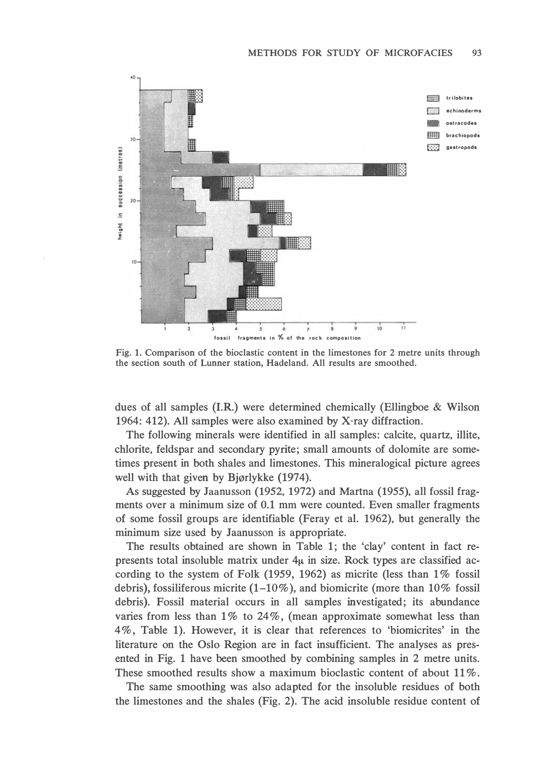

Fig. l. Comparison of the bioclastic content in the limestones for 2 metre units through the section south of Lunner station, Hadeland. All results are smoothed.

dues of all samples (I.R.) were determined chemically (Ellingboe & Wilson 1964: 412). All samples were also examined by X-ray diffraction.

The following minerals were identified in all samples: calcite, quartz, illite, chlorite, feldspar and secondary pyrite; small amounts of dolomite are sometimes present in both shales and limestones. This mineralogical picture agrees well with that given by Bjørlykke (1974).

As suggested by Jaanusson (1952, 1972) and Martna (1955), all fossil fragments over a minimum size of 0.1 mm were counted. Even smaller fragments of some fossil groups are identifiable (Feray et al. 1962), but generally the minimum size used by Jaanusson is appropriate.

The results obtained are shown in Table 1; the 'clay' content in fact represents total insoluble matrix under  $4\mu$  in size. Rock types are classified according to the system of Folk (1959, 1962) as micrite (less than 1% fossil debris), fossiliferous micrite (1–10%), and biomicrite (more than  $10\%$  fossil debris). Fossil material occurs in all samples investigated; its abundance varies from less than  $1\%$  to  $24\%$ , (mean approximate somewhat less than 4%, Table 1). However, it is clear that references to 'biomicrites' in the literature on the Oslo Region are in fact insufficient. The analyses as presented in Fig. 1 have been smoothed by combining samples in 2 metre units. These smoothed results show a maximum bioclastic content of about  $11\%$ .

The same smoothing was also adapted for the insoluble residues of both the limestones and the shales (Fig. 2). The acid insoluble residue content of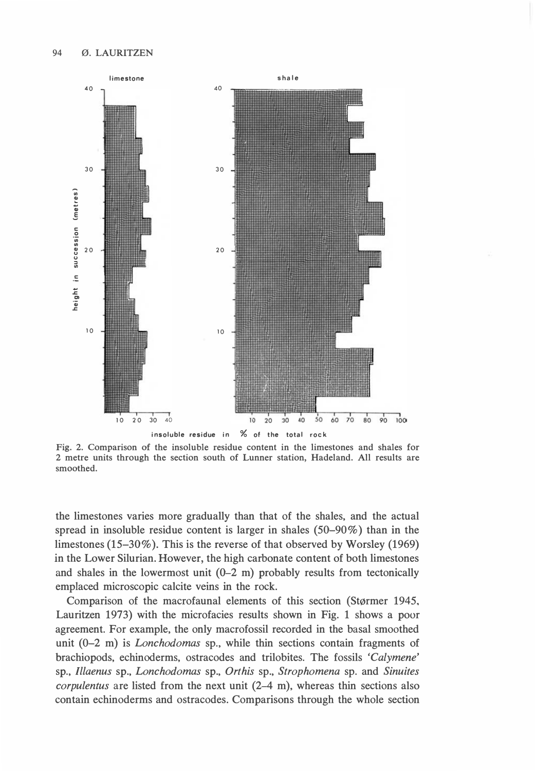

Fig. 2. Comparison of the insoluble residue content in the limestones and shales for 2 metre units through the section south of Lunner station, Hadeland. All results are smoothed.

the limestones varies more gradually than that of the shales, and the actual spread in insoluble residue content is larger in shales  $(50-90\%)$  than in the limestones (15–30%). This is the reverse of that observed by Worsley (1969) in the Lower Silurian. However, the high carbonate content of both limestones and shales in the lowermost unit  $(0-2 \text{ m})$  probably results from tectonically emplaced microscopic calcite veins in the rock.

Comparison of the macrofaunal elements of this section (Størmer 1945, Lauritzen 1973) with the microfacies results shown in Fig. 1 shows a poor agreement. For example, the only macrofossil recorded in the basal smoothed unit (0-2 m) is *Lonchodomas* sp., while thin sections contain fragments of brachiopods, echinoderms, ostracodes and trilobites. The fossils 'Calymene' sp., Illaenus sp., Lonchodomas sp., Orthis sp., Strophomena sp. and Sinuites corpulentus are listed from the next unit (2-4 m), whereas thin sections also contain echinoderms and ostracodes. Comparisons through the whole section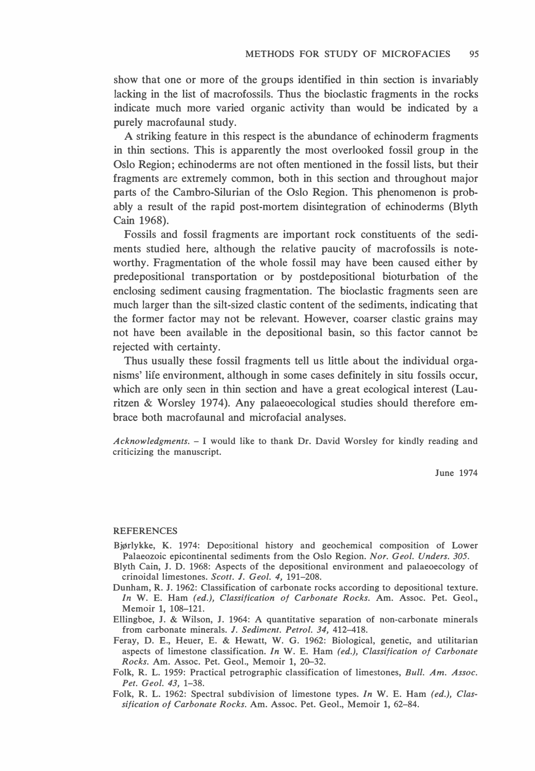show that one or more of the groups identified in thin section is invariably lacking in the list of macrofossils. Thus the bioclastic fragments in the rocks indicate much more varied organic activity than would be indicated by a purely macrofaunal study.

A striking feature in this respect is the abundance of echinoderm fragments in thin sections. This is apparently the most overlooked fossil group in the Oslo Region; echinoderms are not often mentioned in the fossil lists, but their fragments are extremely common, both in this section and throughout major parts of the Cambro-Silurian of the Oslo Region. This phenomenon is probably a result of the rapid post-mortem disintegration of echinoderms (Blyth Cain 1968).

Fossils and fossil fragments are important rock constituents of the sediments studied here, although the relative paucity of macrofossils is noteworthy. Fragmentation of the whole fossil may have been caused either by predepositional transportation or by postdepositional bioturbation of the enclosing sediment causing fragmentation. The bioclastic fragments seen are much larger than the silt-sized clastic content of the sediments, indicating that the former factor may not be relevant. However, coarser clastic grains may not have been available in the depositional basin, so this factor cannot be rejected with certainty.

Thus usually these fossil fragments tell us little about the individual organisms' life environment, although in some cases definitely in situ fossils occur, which are only seen in thin section and have a great ecological interest (Lauritzen & Worsley 1974). Any palaeoecological studies should therefore embrace both macrofaunal and microfacial analyses.

Acknowledgments.  $-1$  would like to thank Dr. David Worsley for kindly reading and criticizing the manuscript.

June 1974

#### REFERENCES

- BjØrlykke, K. 1974: Depositional history and geochemical composition of Lower Palaeozoic epicontinental sediments from the Oslo Region. Nor. Geol. Unders. 305.
- Blyth Cain, J. D. 1968: Aspects of the depositional environment and palaeoecology of crinoidal limestones. Scott. J. Geol. 4, 191-208.
- Dunham, R. J. 1962: Classification of carbonate rocks according to depositional texture. In W. E. Ham (ed.), Classification of Carbonate Rocks. Am. Assoc. Pet. Geol., Memoir l, 108-121.
- Ellingboe, J. & Wilson, J. 1964: A quantitative separation of non-carbonate minerals from carbonate minerals. J. Sediment. Petrol. 34, 412-418.
- Feray, D. E., Heuer, E. & Hewatt, W. G. 1962: Biological, genetic, and utilitarian aspects of limestone classification. In W. E. Ham (ed.), Classification of Carbonate Rocks. Am. Assoc. Pet. Geol., Memoir l, 20-32.
- Folk, R. L. 1959: Practical petrographic classification of limestones, Bull. Am. Assoc. Pet. Geol. 43, 1-38.
- Folk, R. L. 1962: Spectral subdivision of limestone types. In W. E. Ham (ed.), Classification of Carbonate Rocks. Am. Assoc. Pet. Geol., Memoir 1, 62-84.